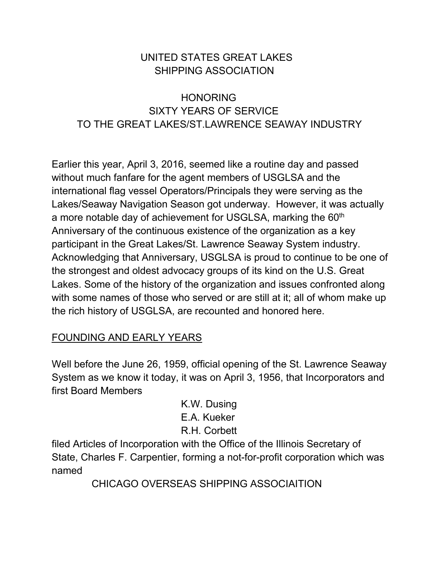# UNITED STATES GREAT LAKES SHIPPING ASSOCIATION

# HONORING SIXTY YEARS OF SERVICE TO THE GREAT LAKES/ST.LAWRENCE SEAWAY INDUSTRY

Earlier this year, April 3, 2016, seemed like a routine day and passed without much fanfare for the agent members of USGLSA and the international flag vessel Operators/Principals they were serving as the Lakes/Seaway Navigation Season got underway. However, it was actually a more notable day of achievement for USGLSA, marking the 60<sup>th</sup> Anniversary of the continuous existence of the organization as a key participant in the Great Lakes/St. Lawrence Seaway System industry. Acknowledging that Anniversary, USGLSA is proud to continue to be one of the strongest and oldest advocacy groups of its kind on the U.S. Great Lakes. Some of the history of the organization and issues confronted along with some names of those who served or are still at it; all of whom make up the rich history of USGLSA, are recounted and honored here.

# FOUNDING AND EARLY YEARS

Well before the June 26, 1959, official opening of the St. Lawrence Seaway System as we know it today, it was on April 3, 1956, that Incorporators and first Board Members

> K.W. Dusing E.A. Kueker R.H. Corbett

filed Articles of Incorporation with the Office of the Illinois Secretary of State, Charles F. Carpentier, forming a not-for-profit corporation which was named

CHICAGO OVERSEAS SHIPPING ASSOCIAITION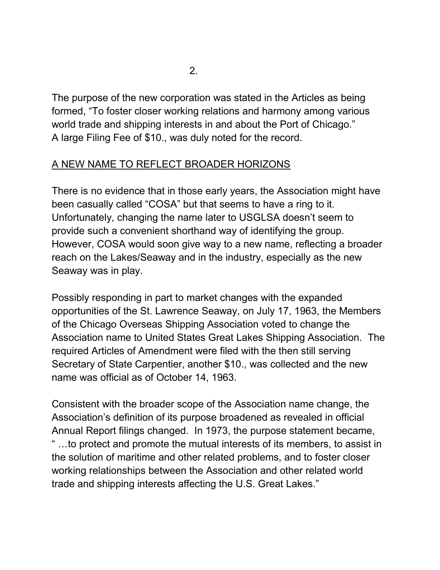The purpose of the new corporation was stated in the Articles as being formed, "To foster closer working relations and harmony among various world trade and shipping interests in and about the Port of Chicago." A large Filing Fee of \$10., was duly noted for the record.

## A NEW NAME TO REFLECT BROADER HORIZONS

There is no evidence that in those early years, the Association might have been casually called "COSA" but that seems to have a ring to it. Unfortunately, changing the name later to USGLSA doesn't seem to provide such a convenient shorthand way of identifying the group. However, COSA would soon give way to a new name, reflecting a broader reach on the Lakes/Seaway and in the industry, especially as the new Seaway was in play.

Possibly responding in part to market changes with the expanded opportunities of the St. Lawrence Seaway, on July 17, 1963, the Members of the Chicago Overseas Shipping Association voted to change the Association name to United States Great Lakes Shipping Association. The required Articles of Amendment were filed with the then still serving Secretary of State Carpentier, another \$10., was collected and the new name was official as of October 14, 1963.

Consistent with the broader scope of the Association name change, the Association's definition of its purpose broadened as revealed in official Annual Report filings changed. In 1973, the purpose statement became, " …to protect and promote the mutual interests of its members, to assist in the solution of maritime and other related problems, and to foster closer working relationships between the Association and other related world trade and shipping interests affecting the U.S. Great Lakes."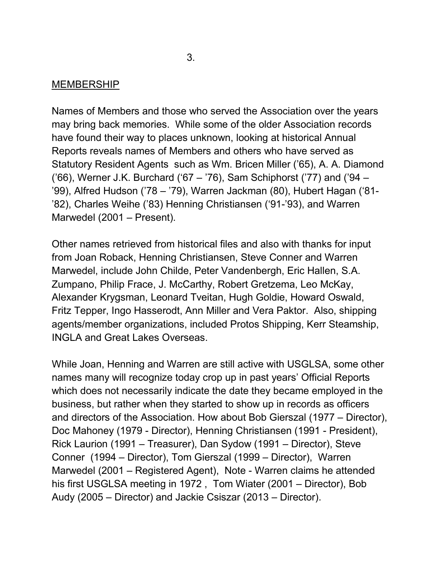#### **MEMBERSHIP**

Names of Members and those who served the Association over the years may bring back memories. While some of the older Association records have found their way to places unknown, looking at historical Annual Reports reveals names of Members and others who have served as Statutory Resident Agents such as Wm. Bricen Miller ('65), A. A. Diamond ('66), Werner J.K. Burchard ('67 – '76), Sam Schiphorst ('77) and ('94 – '99), Alfred Hudson ('78 – '79), Warren Jackman (80), Hubert Hagan ('81- '82), Charles Weihe ('83) Henning Christiansen ('91-'93), and Warren Marwedel (2001 – Present).

Other names retrieved from historical files and also with thanks for input from Joan Roback, Henning Christiansen, Steve Conner and Warren Marwedel, include John Childe, Peter Vandenbergh, Eric Hallen, S.A. Zumpano, Philip Frace, J. McCarthy, Robert Gretzema, Leo McKay, Alexander Krygsman, Leonard Tveitan, Hugh Goldie, Howard Oswald, Fritz Tepper, Ingo Hasserodt, Ann Miller and Vera Paktor. Also, shipping agents/member organizations, included Protos Shipping, Kerr Steamship, INGLA and Great Lakes Overseas.

While Joan, Henning and Warren are still active with USGLSA, some other names many will recognize today crop up in past years' Official Reports which does not necessarily indicate the date they became employed in the business, but rather when they started to show up in records as officers and directors of the Association. How about Bob Gierszal (1977 – Director), Doc Mahoney (1979 - Director), Henning Christiansen (1991 - President), Rick Laurion (1991 – Treasurer), Dan Sydow (1991 – Director), Steve Conner (1994 – Director), Tom Gierszal (1999 – Director), Warren Marwedel (2001 – Registered Agent), Note - Warren claims he attended his first USGLSA meeting in 1972 , Tom Wiater (2001 – Director), Bob Audy (2005 – Director) and Jackie Csiszar (2013 – Director).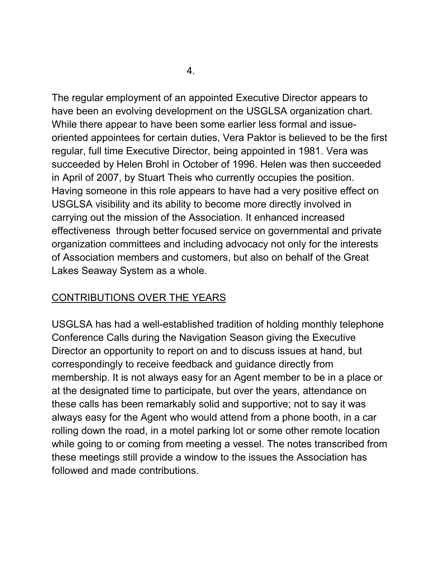The regular employment of an appointed Executive Director appears to have been an evolving development on the USGLSA organization chart. While there appear to have been some earlier less formal and issueoriented appointees for certain duties, Vera Paktor is believed to be the first regular, full time Executive Director, being appointed in 1981. Vera was succeeded by Helen Brohl in October of 1996. Helen was then succeeded in April of 2007, by Stuart Theis who currently occupies the position. Having someone in this role appears to have had a very positive effect on USGLSA visibility and its ability to become more directly involved in carrying out the mission of the Association. It enhanced increased effectiveness through better focused service on governmental and private organization committees and including advocacy not only for the interests of Association members and customers, but also on behalf of the Great Lakes Seaway System as a whole.

#### CONTRIBUTIONS OVER THE YEARS

USGLSA has had a well-established tradition of holding monthly telephone Conference Calls during the Navigation Season giving the Executive Director an opportunity to report on and to discuss issues at hand, but correspondingly to receive feedback and guidance directly from membership. It is not always easy for an Agent member to be in a place or at the designated time to participate, but over the years, attendance on these calls has been remarkably solid and supportive; not to say it was always easy for the Agent who would attend from a phone booth, in a car rolling down the road, in a motel parking lot or some other remote location while going to or coming from meeting a vessel. The notes transcribed from these meetings still provide a window to the issues the Association has followed and made contributions.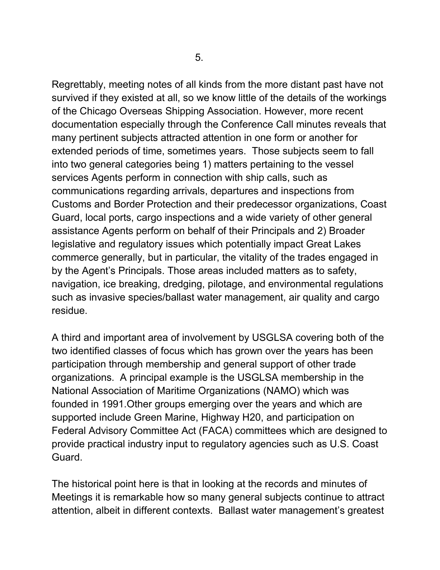Regrettably, meeting notes of all kinds from the more distant past have not survived if they existed at all, so we know little of the details of the workings of the Chicago Overseas Shipping Association. However, more recent documentation especially through the Conference Call minutes reveals that many pertinent subjects attracted attention in one form or another for extended periods of time, sometimes years. Those subjects seem to fall into two general categories being 1) matters pertaining to the vessel services Agents perform in connection with ship calls, such as communications regarding arrivals, departures and inspections from Customs and Border Protection and their predecessor organizations, Coast Guard, local ports, cargo inspections and a wide variety of other general assistance Agents perform on behalf of their Principals and 2) Broader legislative and regulatory issues which potentially impact Great Lakes commerce generally, but in particular, the vitality of the trades engaged in by the Agent's Principals. Those areas included matters as to safety, navigation, ice breaking, dredging, pilotage, and environmental regulations such as invasive species/ballast water management, air quality and cargo residue.

A third and important area of involvement by USGLSA covering both of the two identified classes of focus which has grown over the years has been participation through membership and general support of other trade organizations. A principal example is the USGLSA membership in the National Association of Maritime Organizations (NAMO) which was founded in 1991.Other groups emerging over the years and which are supported include Green Marine, Highway H20, and participation on Federal Advisory Committee Act (FACA) committees which are designed to provide practical industry input to regulatory agencies such as U.S. Coast Guard.

The historical point here is that in looking at the records and minutes of Meetings it is remarkable how so many general subjects continue to attract attention, albeit in different contexts. Ballast water management's greatest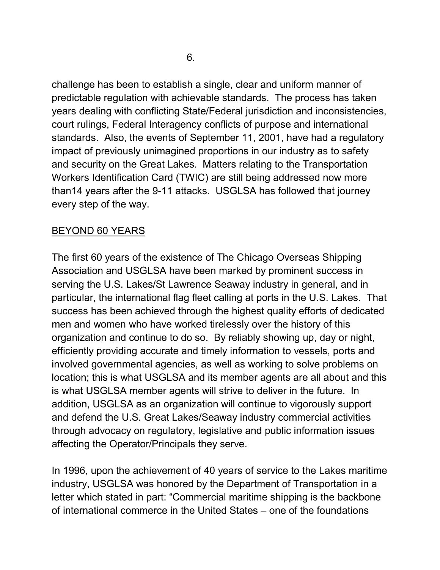challenge has been to establish a single, clear and uniform manner of predictable regulation with achievable standards. The process has taken years dealing with conflicting State/Federal jurisdiction and inconsistencies, court rulings, Federal Interagency conflicts of purpose and international standards. Also, the events of September 11, 2001, have had a regulatory impact of previously unimagined proportions in our industry as to safety and security on the Great Lakes. Matters relating to the Transportation Workers Identification Card (TWIC) are still being addressed now more than14 years after the 9-11 attacks. USGLSA has followed that journey every step of the way.

## BEYOND 60 YEARS

The first 60 years of the existence of The Chicago Overseas Shipping Association and USGLSA have been marked by prominent success in serving the U.S. Lakes/St Lawrence Seaway industry in general, and in particular, the international flag fleet calling at ports in the U.S. Lakes. That success has been achieved through the highest quality efforts of dedicated men and women who have worked tirelessly over the history of this organization and continue to do so. By reliably showing up, day or night, efficiently providing accurate and timely information to vessels, ports and involved governmental agencies, as well as working to solve problems on location; this is what USGLSA and its member agents are all about and this is what USGLSA member agents will strive to deliver in the future. In addition, USGLSA as an organization will continue to vigorously support and defend the U.S. Great Lakes/Seaway industry commercial activities through advocacy on regulatory, legislative and public information issues affecting the Operator/Principals they serve.

In 1996, upon the achievement of 40 years of service to the Lakes maritime industry, USGLSA was honored by the Department of Transportation in a letter which stated in part: "Commercial maritime shipping is the backbone of international commerce in the United States – one of the foundations